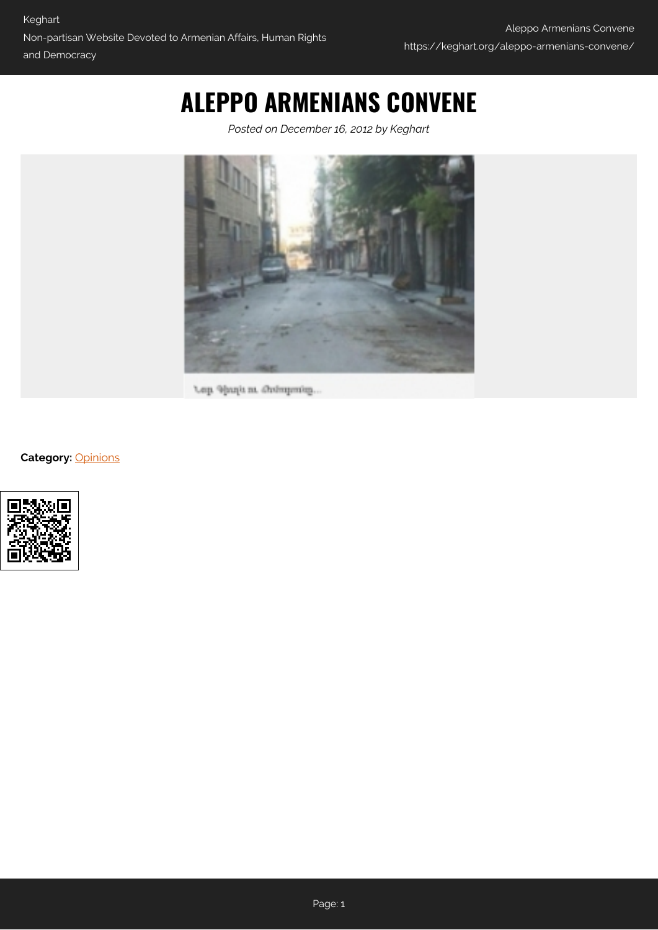## **ALEPPO ARMENIANS CONVENE**

*Posted on December 16, 2012 by Keghart*



Lep Shuji n. Ordepsin.

## **Category:** [Opinions](https://keghart.org/category/opinions/)

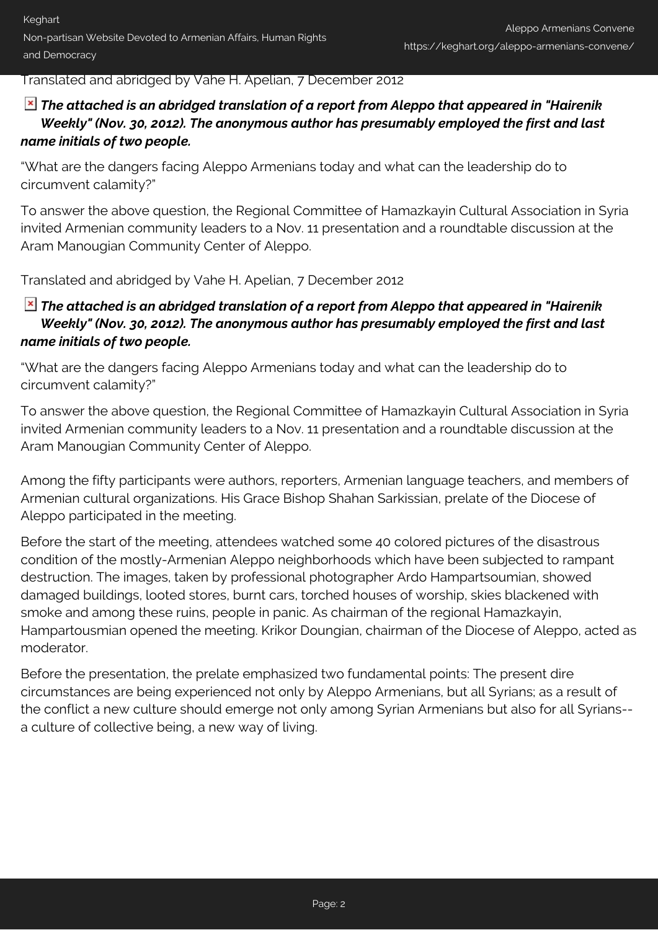Translated and abridged by Vahe H. Apelian, 7 December 2012

## *The attached is an abridged translation of a report from Aleppo that appeared in "Hairenik Weekly" (Nov. 30, 2012). The anonymous author has presumably employed the first and last name initials of two people.*

"What are the dangers facing Aleppo Armenians today and what can the leadership do to circumvent calamity?"

To answer the above question, the Regional Committee of Hamazkayin Cultural Association in Syria invited Armenian community leaders to a Nov. 11 presentation and a roundtable discussion at the Aram Manougian Community Center of Aleppo.

Translated and abridged by Vahe H. Apelian, 7 December 2012

## *The attached is an abridged translation of a report from Aleppo that appeared in "Hairenik Weekly" (Nov. 30, 2012). The anonymous author has presumably employed the first and last name initials of two people.*

"What are the dangers facing Aleppo Armenians today and what can the leadership do to circumvent calamity?"

To answer the above question, the Regional Committee of Hamazkayin Cultural Association in Syria invited Armenian community leaders to a Nov. 11 presentation and a roundtable discussion at the Aram Manougian Community Center of Aleppo.

Among the fifty participants were authors, reporters, Armenian language teachers, and members of Armenian cultural organizations. His Grace Bishop Shahan Sarkissian, prelate of the Diocese of Aleppo participated in the meeting.

Before the start of the meeting, attendees watched some 40 colored pictures of the disastrous condition of the mostly-Armenian Aleppo neighborhoods which have been subjected to rampant destruction. The images, taken by professional photographer Ardo Hampartsoumian, showed damaged buildings, looted stores, burnt cars, torched houses of worship, skies blackened with smoke and among these ruins, people in panic. As chairman of the regional Hamazkayin, Hampartousmian opened the meeting. Krikor Doungian, chairman of the Diocese of Aleppo, acted as moderator.

Before the presentation, the prelate emphasized two fundamental points: The present dire circumstances are being experienced not only by Aleppo Armenians, but all Syrians; as a result of the conflict a new culture should emerge not only among Syrian Armenians but also for all Syrians- a culture of collective being, a new way of living.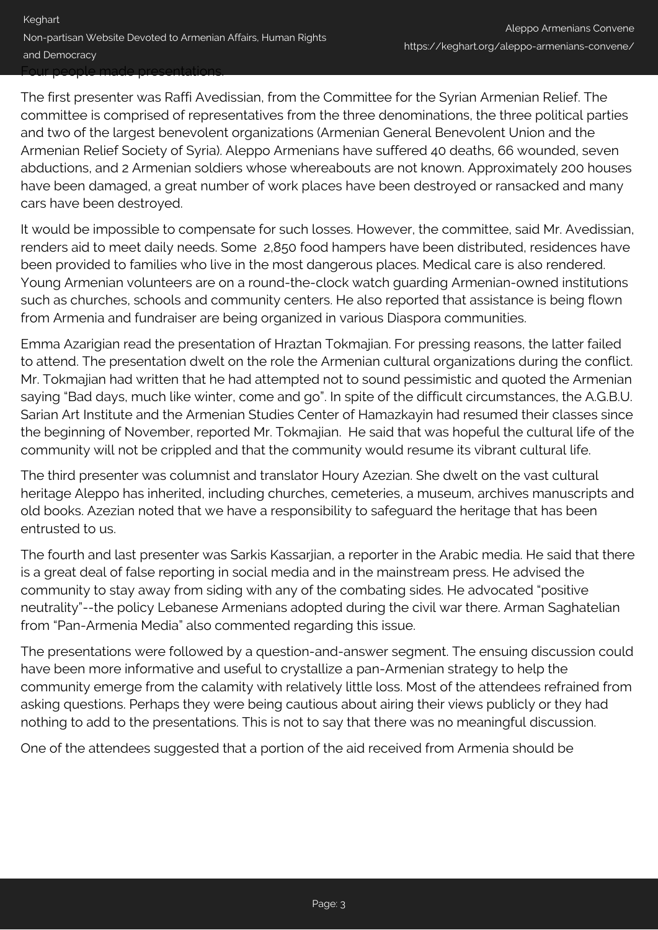The first presenter was Raffi Avedissian, from the Committee for the Syrian Armenian Relief. The committee is comprised of representatives from the three denominations, the three political parties and two of the largest benevolent organizations (Armenian General Benevolent Union and the Armenian Relief Society of Syria). Aleppo Armenians have suffered 40 deaths, 66 wounded, seven abductions, and 2 Armenian soldiers whose whereabouts are not known. Approximately 200 houses have been damaged, a great number of work places have been destroyed or ransacked and many cars have been destroyed.

It would be impossible to compensate for such losses. However, the committee, said Mr. Avedissian, renders aid to meet daily needs. Some 2,850 food hampers have been distributed, residences have been provided to families who live in the most dangerous places. Medical care is also rendered. Young Armenian volunteers are on a round-the-clock watch guarding Armenian-owned institutions such as churches, schools and community centers. He also reported that assistance is being flown from Armenia and fundraiser are being organized in various Diaspora communities.

Emma Azarigian read the presentation of Hraztan Tokmajian. For pressing reasons, the latter failed to attend. The presentation dwelt on the role the Armenian cultural organizations during the conflict. Mr. Tokmajian had written that he had attempted not to sound pessimistic and quoted the Armenian saying "Bad days, much like winter, come and go". In spite of the difficult circumstances, the A.G.B.U. Sarian Art Institute and the Armenian Studies Center of Hamazkayin had resumed their classes since the beginning of November, reported Mr. Tokmajian. He said that was hopeful the cultural life of the community will not be crippled and that the community would resume its vibrant cultural life.

The third presenter was columnist and translator Houry Azezian. She dwelt on the vast cultural heritage Aleppo has inherited, including churches, cemeteries, a museum, archives manuscripts and old books. Azezian noted that we have a responsibility to safeguard the heritage that has been entrusted to us.

The fourth and last presenter was Sarkis Kassarjian, a reporter in the Arabic media. He said that there is a great deal of false reporting in social media and in the mainstream press. He advised the community to stay away from siding with any of the combating sides. He advocated "positive neutrality"--the policy Lebanese Armenians adopted during the civil war there. Arman Saghatelian from "Pan-Armenia Media" also commented regarding this issue.

The presentations were followed by a question-and-answer segment. The ensuing discussion could have been more informative and useful to crystallize a pan-Armenian strategy to help the community emerge from the calamity with relatively little loss. Most of the attendees refrained from asking questions. Perhaps they were being cautious about airing their views publicly or they had nothing to add to the presentations. This is not to say that there was no meaningful discussion.

One of the attendees suggested that a portion of the aid received from Armenia should be